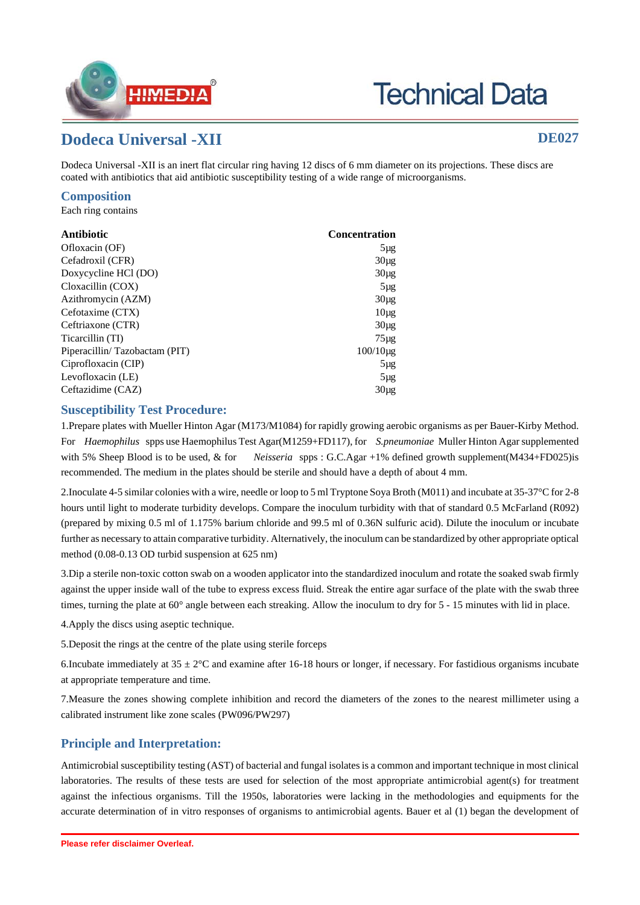

# **Technical Data**

## **Dodeca Universal -XII DE027**

Dodeca Universal -XII is an inert flat circular ring having 12 discs of 6 mm diameter on its projections. These discs are coated with antibiotics that aid antibiotic susceptibility testing of a wide range of microorganisms.

## **Composition**

Each ring contains

| Antibiotic                    | <b>Concentration</b> |
|-------------------------------|----------------------|
| Ofloxacin (OF)                | $5\mu$ g             |
| Cefadroxil (CFR)              | $30\mu$ g            |
| Doxycycline HCl (DO)          | $30\mu$ g            |
| Cloxacillin (COX)             | $5\mu$ g             |
| Azithromycin (AZM)            | $30\mu$ g            |
| Cefotaxime (CTX)              | 10 <sub>µg</sub>     |
| Ceftriaxone (CTR)             | $30\mu g$            |
| Ticarcillin (TI)              | $75\mu$ g            |
| Piperacillin/Tazobactam (PIT) | $100/10 \mu g$       |
| Ciprofloxacin (CIP)           | $5\mug$              |
| Levofloxacin (LE)             | $5\mu$ g             |
| Ceftazidime (CAZ)             | $30\mu$ g            |

## **Susceptibility Test Procedure:**

1.Prepare plates with Mueller Hinton Agar (M173/M1084) for rapidly growing aerobic organisms as per Bauer-Kirby Method. For *Haemophilus* spps use Haemophilus Test Agar(M1259+FD117), for *S.pneumoniae* Muller Hinton Agar supplemented with 5% Sheep Blood is to be used, & for *Neisseria* spps : G.C.Agar +1% defined growth supplement(M434+FD025)is recommended. The medium in the plates should be sterile and should have a depth of about 4 mm.

2.Inoculate 4-5 similar colonies with a wire, needle or loop to 5 ml Tryptone Soya Broth (M011) and incubate at 35-37°C for 2-8 hours until light to moderate turbidity develops. Compare the inoculum turbidity with that of standard 0.5 McFarland (R092) (prepared by mixing 0.5 ml of 1.175% barium chloride and 99.5 ml of 0.36N sulfuric acid). Dilute the inoculum or incubate further as necessary to attain comparative turbidity. Alternatively, the inoculum can be standardized by other appropriate optical method (0.08-0.13 OD turbid suspension at 625 nm)

3.Dip a sterile non-toxic cotton swab on a wooden applicator into the standardized inoculum and rotate the soaked swab firmly against the upper inside wall of the tube to express excess fluid. Streak the entire agar surface of the plate with the swab three times, turning the plate at 60° angle between each streaking. Allow the inoculum to dry for 5 - 15 minutes with lid in place.

4.Apply the discs using aseptic technique.

5.Deposit the rings at the centre of the plate using sterile forceps

6.Incubate immediately at  $35 \pm 2$ °C and examine after 16-18 hours or longer, if necessary. For fastidious organisms incubate at appropriate temperature and time.

7.Measure the zones showing complete inhibition and record the diameters of the zones to the nearest millimeter using a calibrated instrument like zone scales (PW096/PW297)

## **Principle and Interpretation:**

Antimicrobial susceptibility testing (AST) of bacterial and fungal isolates is a common and important technique in most clinical laboratories. The results of these tests are used for selection of the most appropriate antimicrobial agent(s) for treatment against the infectious organisms. Till the 1950s, laboratories were lacking in the methodologies and equipments for the accurate determination of in vitro responses of organisms to antimicrobial agents. Bauer et al (1) began the development of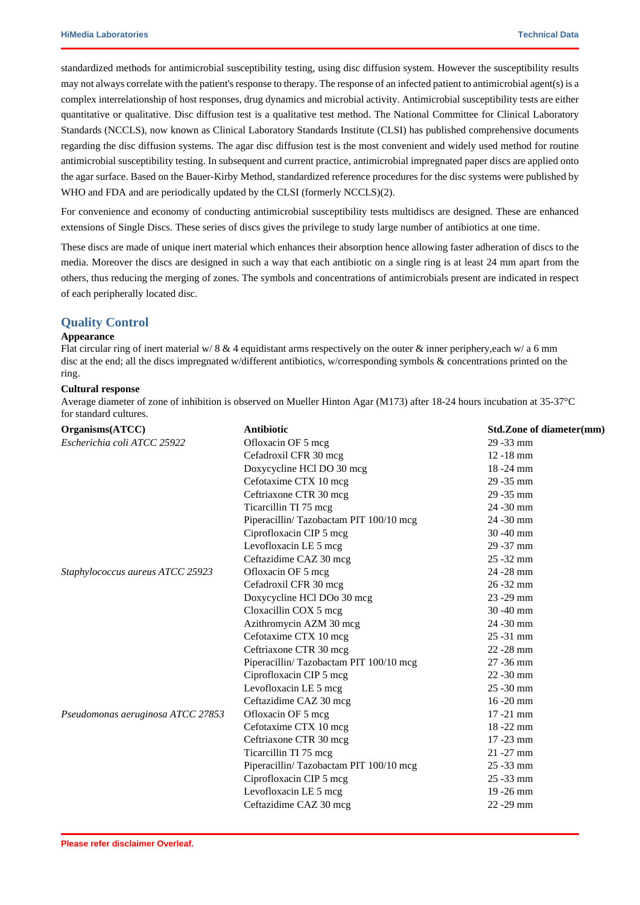standardized methods for antimicrobial susceptibility testing, using disc diffusion system. However the susceptibility results may not always correlate with the patient's response to therapy. The response of an infected patient to antimicrobial agent(s) is a complex interrelationship of host responses, drug dynamics and microbial activity. Antimicrobial susceptibility tests are either quantitative or qualitative. Disc diffusion test is a qualitative test method. The National Committee for Clinical Laboratory Standards (NCCLS), now known as Clinical Laboratory Standards Institute (CLSI) has published comprehensive documents regarding the disc diffusion systems. The agar disc diffusion test is the most convenient and widely used method for routine antimicrobial susceptibility testing. In subsequent and current practice, antimicrobial impregnated paper discs are applied onto the agar surface. Based on the Bauer-Kirby Method, standardized reference procedures for the disc systems were published by WHO and FDA and are periodically updated by the CLSI (formerly NCCLS)(2).

For convenience and economy of conducting antimicrobial susceptibility tests multidiscs are designed. These are enhanced extensions of Single Discs. These series of discs gives the privilege to study large number of antibiotics at one time.

These discs are made of unique inert material which enhances their absorption hence allowing faster adheration of discs to the media. Moreover the discs are designed in such a way that each antibiotic on a single ring is at least 24 mm apart from the others, thus reducing the merging of zones. The symbols and concentrations of antimicrobials present are indicated in respect of each peripherally located disc.

#### **Quality Control**

#### **Appearance**

Flat circular ring of inert material w/ 8  $\&$  4 equidistant arms respectively on the outer  $\&$  inner periphery, each w/ a 6 mm disc at the end; all the discs impregnated w/different antibiotics, w/corresponding symbols & concentrations printed on the ring.

#### **Cultural response**

Average diameter of zone of inhibition is observed on Mueller Hinton Agar (M173) after 18-24 hours incubation at 35-37°C for standard cultures.

| Organisms(ATCC)                   | <b>Antibiotic</b>                      | Std.Zone of diameter(mm) |
|-----------------------------------|----------------------------------------|--------------------------|
| Escherichia coli ATCC 25922       | Ofloxacin OF 5 mcg                     | 29 - 33 mm               |
|                                   | Cefadroxil CFR 30 mcg                  | $12 - 18$ mm             |
|                                   | Doxycycline HCl DO 30 mcg              | 18-24 mm                 |
|                                   | Cefotaxime CTX 10 mcg                  | 29 - 35 mm               |
|                                   | Ceftriaxone CTR 30 mcg                 | 29 - 35 mm               |
|                                   | Ticarcillin TI 75 mcg                  | $24 - 30$ mm             |
|                                   | Piperacillin/Tazobactam PIT 100/10 mcg | 24 - 30 mm               |
|                                   | Ciprofloxacin CIP 5 mcg                | $30 - 40$ mm             |
|                                   | Levofloxacin LE 5 mcg                  | 29 - 37 mm               |
|                                   | Ceftazidime CAZ 30 mcg                 | $25 - 32$ mm             |
| Staphylococcus aureus ATCC 25923  | Ofloxacin OF 5 mcg                     | 24 - 28 mm               |
|                                   | Cefadroxil CFR 30 mcg                  | $26 - 32$ mm             |
|                                   | Doxycycline HCl DOo 30 mcg             | $23 - 29$ mm             |
|                                   | Cloxacillin COX 5 mcg                  | 30 - 40 mm               |
|                                   | Azithromycin AZM 30 mcg                | 24 - 30 mm               |
|                                   | Cefotaxime CTX 10 mcg                  | 25 - 31 mm               |
|                                   | Ceftriaxone CTR 30 mcg                 | 22 - 28 mm               |
|                                   | Piperacillin/Tazobactam PIT 100/10 mcg | $27 - 36$ mm             |
|                                   | Ciprofloxacin CIP 5 mcg                | $22 - 30$ mm             |
|                                   | Levofloxacin LE 5 mcg                  | $25 - 30$ mm             |
|                                   | Ceftazidime CAZ 30 mcg                 | $16 - 20$ mm             |
| Pseudomonas aeruginosa ATCC 27853 | Ofloxacin OF 5 mcg                     | $17 - 21$ mm             |
|                                   | Cefotaxime CTX 10 mcg                  | 18-22 mm                 |
|                                   | Ceftriaxone CTR 30 mcg                 | $17 - 23$ mm             |
|                                   | Ticarcillin TI 75 mcg                  | $21 - 27$ mm             |
|                                   | Piperacillin/Tazobactam PIT 100/10 mcg | 25 - 33 mm               |
|                                   | Ciprofloxacin CIP 5 mcg                | $25 - 33$ mm             |
|                                   | Levofloxacin LE 5 mcg                  | 19 - 26 mm               |
|                                   | Ceftazidime CAZ 30 mcg                 | $22 - 29$ mm             |
|                                   |                                        |                          |